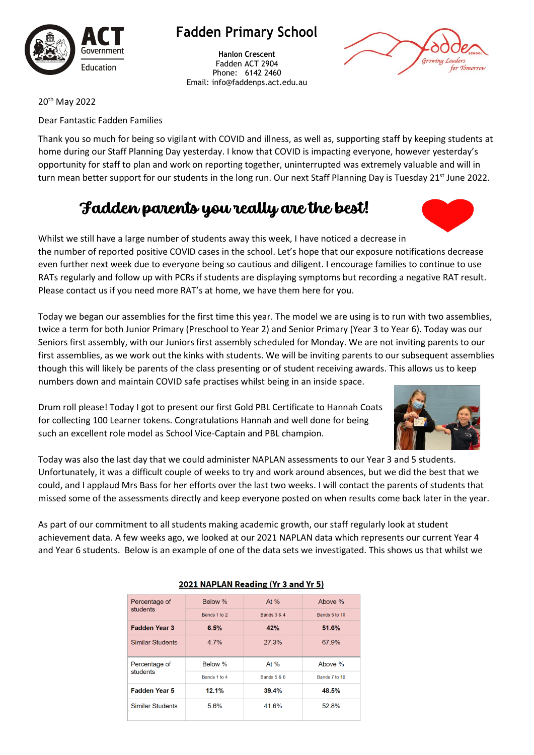

## **Fadden Primary School**

**Hanlon Crescent** Fadden ACT 2904 Phone: 6142 2460 Email: info@faddenps.act.edu.au



20th May 2022

Dear Fantastic Fadden Families

Thank you so much for being so vigilant with COVID and illness, as well as, supporting staff by keeping students at home during our Staff Planning Day yesterday. I know that COVID is impacting everyone, however yesterday's opportunity for staff to plan and work on reporting together, uninterrupted was extremely valuable and will in turn mean better support for our students in the long run. Our next Staff Planning Day is Tuesday 21<sup>st</sup> June 2022.

# Fadden parents you really are the best!

Whilst we still have a large number of students away this week, I have noticed a decrease in the number of reported positive COVID cases in the school. Let's hope that our exposure notific[ation](https://en.m.wikipedia.org/wiki/Heart_(symbol))s decrease even further next week due to everyone being so cautious and diligent. I encourage families to continue to use RATs regularly and follow up with PCRs if students are displaying symptoms but recording a negative [RAT res](https://creativecommons.org/licenses/by-sa/3.0/)ult. Please contact us if you need more RAT's at home, we have them here for you.

Today we began our assemblies for the first time this year. The model we are using is to run with two assemblies, twice a term for both Junior Primary (Preschool to Year 2) and Senior Primary (Year 3 to Year 6). Today was our Seniors first assembly, with our Juniors first assembly scheduled for Monday. We are not inviting parents to our first assemblies, as we work out the kinks with students. We will be inviting parents to our subsequent assemblies though this will likely be parents of the class presenting or of student receiving awards. This allows us to keep numbers down and maintain COVID safe practises whilst being in an inside space.

Drum roll please! Today I got to present our first Gold PBL Certificate to Hannah Coats for collecting 100 Learner tokens. Congratulations Hannah and well done for being such an excellent role model as School Vice-Captain and PBL champion.

Today was also the last day that we could administer NAPLAN assessments to our Year 3 and 5 students. Unfortunately, it was a difficult couple of weeks to try and work around absences, but we did the best that we could, and I applaud Mrs Bass for her efforts over the last two weeks. I will contact the parents of students that missed some of the assessments directly and keep everyone posted on when results come back later in the year.

As part of our commitment to all students making academic growth, our staff regularly look at student achievement data. A few weeks ago, we looked at our 2021 NAPLAN data which represents our current Year 4 and Year 6 students. Below is an example of one of the data sets we investigated. This shows us that whilst we

| Percentage of<br>students | Below %      | At $%$                 | Above %       |
|---------------------------|--------------|------------------------|---------------|
|                           | Bands 1 to 2 | <b>Bands 3 &amp; 4</b> | Bands 5 to 10 |
| <b>Fadden Year 3</b>      | 6.5%         | 42%                    | 51.6%         |
| <b>Similar Students</b>   | 4.7%         | 27.3%                  | 67.9%         |
| Percentage of<br>students | Below %      | At $%$                 | Above %       |
|                           | Bands 1 to 4 | Bands 5 & 6            | Bands 7 to 10 |
| <b>Fadden Year 5</b>      | 12.1%        | 39.4%                  | 48.5%         |
| <b>Similar Students</b>   | 5.6%         | 41.6%                  | 52.8%         |

### 2021 NAPLAN Reading (Yr 3 and Yr 5)